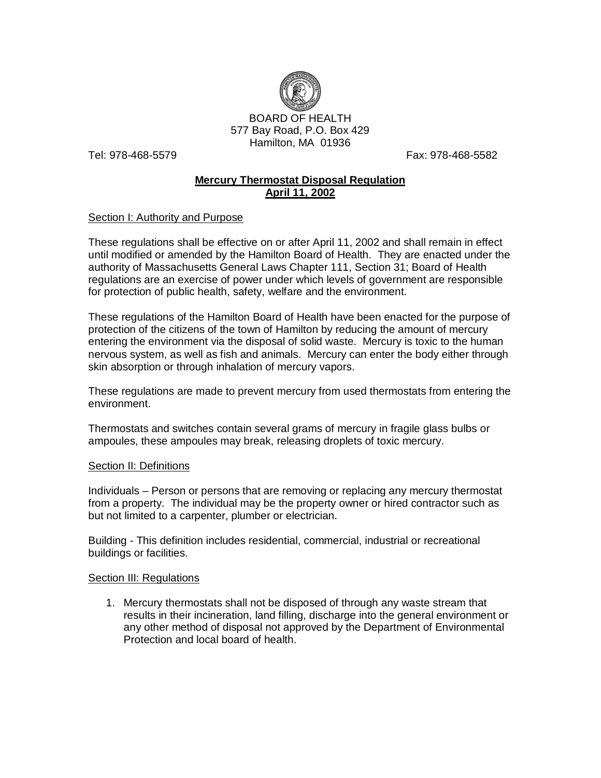

Tel: 978-468-5579 Fax: 978-468-5582

# **Mercury Thermostat Disposal Regulation April 11, 2002**

### Section I: Authority and Purpose

These regulations shall be effective on or after April 11, 2002 and shall remain in effect until modified or amended by the Hamilton Board of Health. They are enacted under the authority of Massachusetts General Laws Chapter 111, Section 31; Board of Health regulations are an exercise of power under which levels of government are responsible for protection of public health, safety, welfare and the environment.

These regulations of the Hamilton Board of Health have been enacted for the purpose of protection of the citizens of the town of Hamilton by reducing the amount of mercury entering the environment via the disposal of solid waste. Mercury is toxic to the human nervous system, as well as fish and animals. Mercury can enter the body either through skin absorption or through inhalation of mercury vapors.

These regulations are made to prevent mercury from used thermostats from entering the environment.

Thermostats and switches contain several grams of mercury in fragile glass bulbs or ampoules, these ampoules may break, releasing droplets of toxic mercury.

### Section II: Definitions

Individuals – Person or persons that are removing or replacing any mercury thermostat from a property. The individual may be the property owner or hired contractor such as but not limited to a carpenter, plumber or electrician.

Building - This definition includes residential, commercial, industrial or recreational buildings or facilities.

#### Section III: Regulations

1. Mercury thermostats shall not be disposed of through any waste stream that results in their incineration, land filling, discharge into the general environment or any other method of disposal not approved by the Department of Environmental Protection and local board of health.